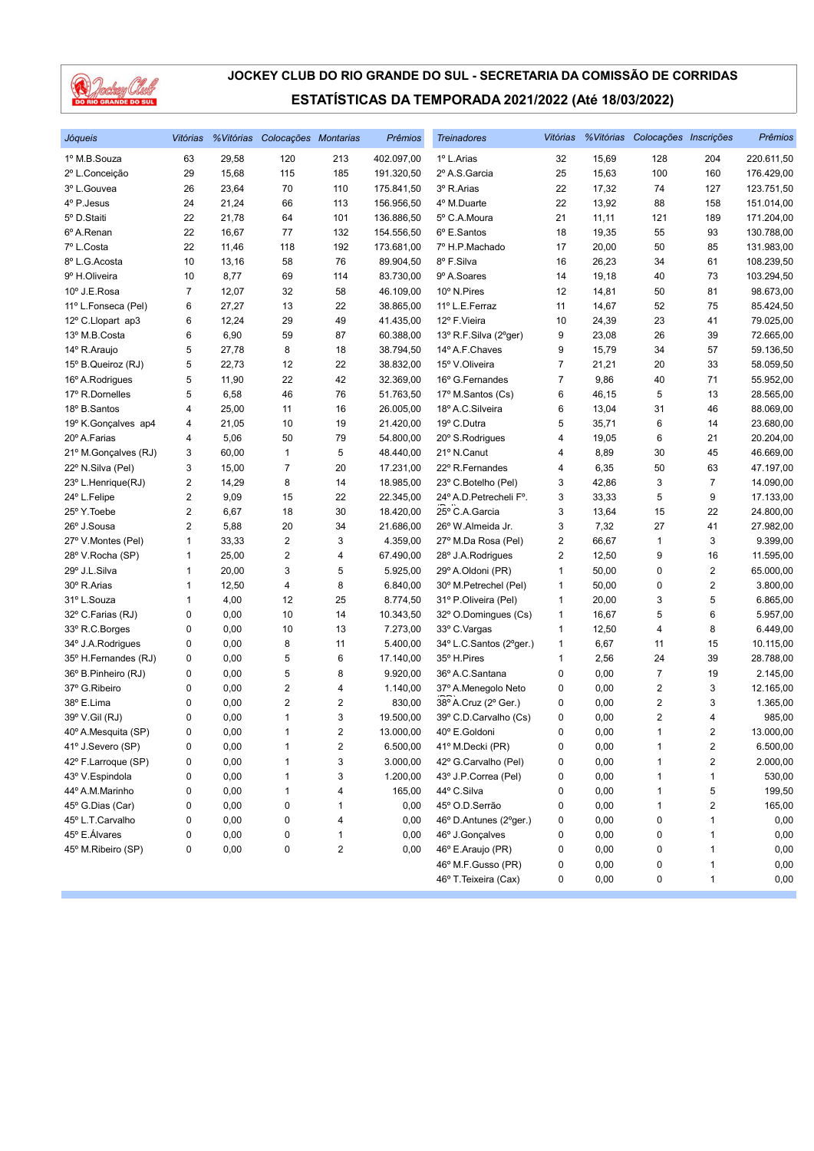

| Jóqueis              | Vitórias                |       | % Vitórias Colocações Montarias |                | <b>Prêmios</b> | <b>Treinadores</b>      |                |       | Vitórias % Vitórias Colocações Inscrições |                         | Prêmios    |
|----------------------|-------------------------|-------|---------------------------------|----------------|----------------|-------------------------|----------------|-------|-------------------------------------------|-------------------------|------------|
| 1º M.B.Souza         | 63                      | 29,58 | 120                             | 213            | 402.097,00     | 1º L.Arias              | 32             | 15,69 | 128                                       | 204                     | 220.611,50 |
| 2º L.Conceição       | 29                      | 15,68 | 115                             | 185            | 191.320,50     | 2º A.S. Garcia          | 25             | 15,63 | 100                                       | 160                     | 176.429,00 |
| 3º L.Gouvea          | 26                      | 23,64 | 70                              | 110            | 175.841,50     | 3º R.Arias              | 22             | 17,32 | 74                                        | 127                     | 123.751,50 |
| 4º P.Jesus           | 24                      | 21,24 | 66                              | 113            | 156.956,50     | 4º M.Duarte             | 22             | 13,92 | 88                                        | 158                     | 151.014,00 |
| 5º D.Staiti          | 22                      | 21,78 | 64                              | 101            | 136.886,50     | 5° C.A.Moura            | 21             | 11,11 | 121                                       | 189                     | 171.204,00 |
| 6º A.Renan           | 22                      | 16,67 | 77                              | 132            | 154.556,50     | 6º E.Santos             | 18             | 19,35 | 55                                        | 93                      | 130.788,00 |
| 7º L.Costa           | 22                      | 11,46 | 118                             | 192            | 173.681,00     | 7º H.P.Machado          | 17             | 20,00 | 50                                        | 85                      | 131.983,00 |
| 8º L.G.Acosta        | 10                      | 13,16 | 58                              | 76             | 89.904,50      | 8º F.Silva              | 16             | 26,23 | 34                                        | 61                      | 108.239,50 |
| 9º H.Oliveira        | 10                      | 8,77  | 69                              | 114            | 83.730,00      | 9º A.Soares             | 14             | 19,18 | 40                                        | 73                      | 103.294,50 |
| 10° J.E.Rosa         | 7                       | 12,07 | 32                              | 58             | 46.109,00      | 10° N.Pires             | 12             | 14,81 | 50                                        | 81                      | 98.673,00  |
| 11º L.Fonseca (Pel)  | 6                       | 27,27 | 13                              | 22             | 38.865,00      | 11º L.E.Ferraz          | 11             | 14,67 | 52                                        | 75                      | 85.424,50  |
| 12º C.Llopart ap3    | 6                       | 12,24 | 29                              | 49             | 41.435,00      | 12º F.Vieira            | 10             | 24,39 | 23                                        | 41                      | 79.025,00  |
| 13º M.B.Costa        | 6                       | 6,90  | 59                              | 87             | 60.388,00      | 13º R.F.Silva (2°ger)   | 9              | 23,08 | 26                                        | 39                      | 72.665,00  |
| 14º R.Araujo         | 5                       | 27,78 | 8                               | 18             | 38.794,50      | 14º A.F.Chaves          | 9              | 15,79 | 34                                        | 57                      | 59.136,50  |
| 15° B.Queiroz (RJ)   | 5                       | 22,73 | 12                              | 22             | 38.832,00      | 15° V.Oliveira          | 7              | 21,21 | 20                                        | 33                      | 58.059,50  |
| 16° A.Rodrigues      | 5                       | 11,90 | 22                              | 42             | 32.369,00      | 16° G.Fernandes         | $\overline{7}$ | 9,86  | 40                                        | 71                      | 55.952,00  |
| 17º R.Dornelles      | 5                       | 6,58  | 46                              | 76             | 51.763,50      | 17º M.Santos (Cs)       | 6              | 46,15 | 5                                         | 13                      | 28.565,00  |
| 18º B.Santos         | 4                       | 25,00 | 11                              | 16             | 26.005,00      | 18º A.C.Silveira        | 6              | 13,04 | 31                                        | 46                      | 88.069,00  |
| 19º K.Gonçalves ap4  | 4                       | 21,05 | 10                              | 19             | 21.420,00      | 19° C.Dutra             | 5              | 35,71 | 6                                         | 14                      | 23.680,00  |
| 20° A.Farias         | 4                       | 5,06  | 50                              | 79             | 54.800,00      | 20° S.Rodrigues         | 4              | 19,05 | 6                                         | 21                      | 20.204,00  |
| 21º M.Gonçalves (RJ) | 3                       | 60,00 | $\mathbf{1}$                    | 5              | 48.440,00      | 21º N.Canut             | 4              | 8,89  | 30                                        | 45                      | 46.669,00  |
| 22° N.Silva (Pel)    | 3                       | 15,00 | $\overline{7}$                  | 20             | 17.231,00      | 22° R.Fernandes         | 4              | 6,35  | 50                                        | 63                      | 47.197,00  |
| 23° L.Henrique(RJ)   | 2                       | 14,29 | 8                               | 14             | 18.985,00      | 23° C.Botelho (Pel)     | 3              | 42,86 | 3                                         | $\overline{7}$          | 14.090,00  |
| 24° L.Felipe         | 2                       | 9,09  | 15                              | 22             | 22.345,00      | 24° A.D. Petrecheli F°. | 3              | 33,33 | 5                                         | 9                       | 17.133,00  |
| 25° Y. Toebe         | $\overline{2}$          | 6,67  | 18                              | 30             | 18.420,00      | 25° C.A.Garcia          | 3              | 13,64 | 15                                        | 22                      | 24.800,00  |
| 26° J.Sousa          | $\overline{\mathbf{c}}$ | 5,88  | 20                              | 34             | 21.686,00      | 26° W.Almeida Jr.       | 3              | 7,32  | 27                                        | 41                      | 27.982,00  |
| 27º V.Montes (Pel)   | 1                       | 33,33 | $\overline{c}$                  | 3              | 4.359,00       | 27º M.Da Rosa (Pel)     | $\overline{2}$ | 66,67 | $\mathbf{1}$                              | 3                       | 9.399,00   |
| 28° V.Rocha (SP)     | 1                       | 25,00 | $\overline{2}$                  | 4              | 67.490,00      | 28° J.A.Rodrigues       | $\overline{2}$ | 12,50 | 9                                         | 16                      | 11.595,00  |
| 29° J.L.Silva        | 1                       | 20,00 | 3                               | 5              | 5.925,00       | 29º A.Oldoni (PR)       | 1              | 50,00 | 0                                         | $\overline{\mathbf{c}}$ | 65.000,00  |
| 30° R.Arias          | 1                       | 12,50 | 4                               | 8              | 6.840,00       | 30° M.Petrechel (Pel)   | 1              | 50,00 | 0                                         | $\overline{\mathbf{c}}$ | 3.800,00   |
| 31º L.Souza          | 1                       | 4,00  | 12                              | 25             | 8.774,50       | 31º P.Oliveira (Pel)    | 1              | 20,00 | 3                                         | 5                       | 6.865,00   |
| 32° C.Farias (RJ)    | 0                       | 0,00  | 10                              | 14             | 10.343,50      | 32° O.Domingues (Cs)    | $\mathbf{1}$   | 16,67 | 5                                         | 6                       | 5.957,00   |
| 33º R.C.Borges       | 0                       | 0,00  | 10                              | 13             | 7.273,00       | 33º C.Vargas            | 1              | 12,50 | 4                                         | 8                       | 6.449,00   |
| 34° J.A.Rodrigues    | 0                       | 0,00  | 8                               | 11             | 5.400,00       | 34° L.C.Santos (2°ger.) | 1              | 6,67  | 11                                        | 15                      | 10.115,00  |
| 35° H.Fernandes (RJ) | 0                       | 0,00  | 5                               | 6              | 17.140,00      | 35° H.Pires             | 1              | 2,56  | 24                                        | 39                      | 28.788,00  |
| 36° B.Pinheiro (RJ)  | 0                       | 0,00  | 5                               | 8              | 9.920,00       | 36º A.C.Santana         | 0              | 0,00  | $\overline{7}$                            | 19                      | 2.145,00   |
| 37º G.Ribeiro        | 0                       | 0,00  | $\sqrt{2}$                      | 4              | 1.140,00       | 37º A.Menegolo Neto     | 0              | 0,00  | $\overline{\mathbf{c}}$                   | 3                       | 12.165,00  |
| 38º E.Lima           | 0                       | 0,00  | $\overline{\mathbf{c}}$         | 2              | 830,00         | 38° A.Cruz (2° Ger.)    | 0              | 0,00  | 2                                         | 3                       | 1.365,00   |
| 39° V.Gil (RJ)       | 0                       | 0,00  | $\mathbf{1}$                    | 3              | 19.500,00      | 39° C.D.Carvalho (Cs)   | 0              | 0,00  | $\overline{2}$                            | 4                       | 985,00     |
| 40° A.Mesquita (SP)  | 0                       | 0,00  | $\mathbf{1}$                    | $\overline{c}$ | 13.000,00      | 40° E.Goldoni           | 0              | 0,00  | $\mathbf{1}$                              | $\overline{2}$          | 13.000,00  |
| 41º J.Severo (SP)    | 0                       | 0,00  | 1                               | 2              | 6.500,00       | 41º M.Decki (PR)        | 0              | 0,00  | 1                                         | $\boldsymbol{2}$        | 6.500,00   |
| 42º F.Larroque (SP)  | 0                       | 0,00  | 1                               | 3              | 3.000,00       | 42° G.Carvalho (Pel)    | 0              | 0,00  | 1                                         | $\boldsymbol{2}$        | 2.000,00   |
| 43º V.Espindola      | 0                       | 0,00  | 1                               | 3              | 1.200,00       | 43° J.P.Correa (Pel)    | 0              | 0,00  | 1                                         | 1                       | 530,00     |
| 44º A.M.Marinho      | 0                       | 0,00  | 1                               | 4              | 165,00         | 44° C.Silva             | 0              | 0,00  | 1                                         | 5                       | 199,50     |
| 45° G.Dias (Car)     | 0                       | 0,00  | 0                               | 1              | 0,00           | 45° O.D.Serrão          | 0              | 0,00  | 1                                         | 2                       | 165,00     |
| 45° L.T.Carvalho     | 0                       | 0,00  | 0                               | 4              | 0,00           | 46° D.Antunes (2°ger.)  | 0              | 0,00  | 0                                         | 1                       | 0,00       |
| 45° E.Álvares        | 0                       | 0,00  | 0                               | 1              | 0,00           | 46° J.Gonçalves         | 0              | 0,00  | 0                                         | 1                       | 0,00       |
| 45° M.Ribeiro (SP)   | 0                       | 0,00  | 0                               | 2              | 0,00           | 46° E.Araujo (PR)       | 0              | 0,00  | 0                                         | 1                       | 0,00       |
|                      |                         |       |                                 |                |                | 46° M.F.Gusso (PR)      | 0              | 0,00  | 0                                         | $\mathbf{1}$            | 0,00       |
|                      |                         |       |                                 |                |                | 46° T. Teixeira (Cax)   | 0              | 0,00  | 0                                         | $\mathbf{1}$            | 0,00       |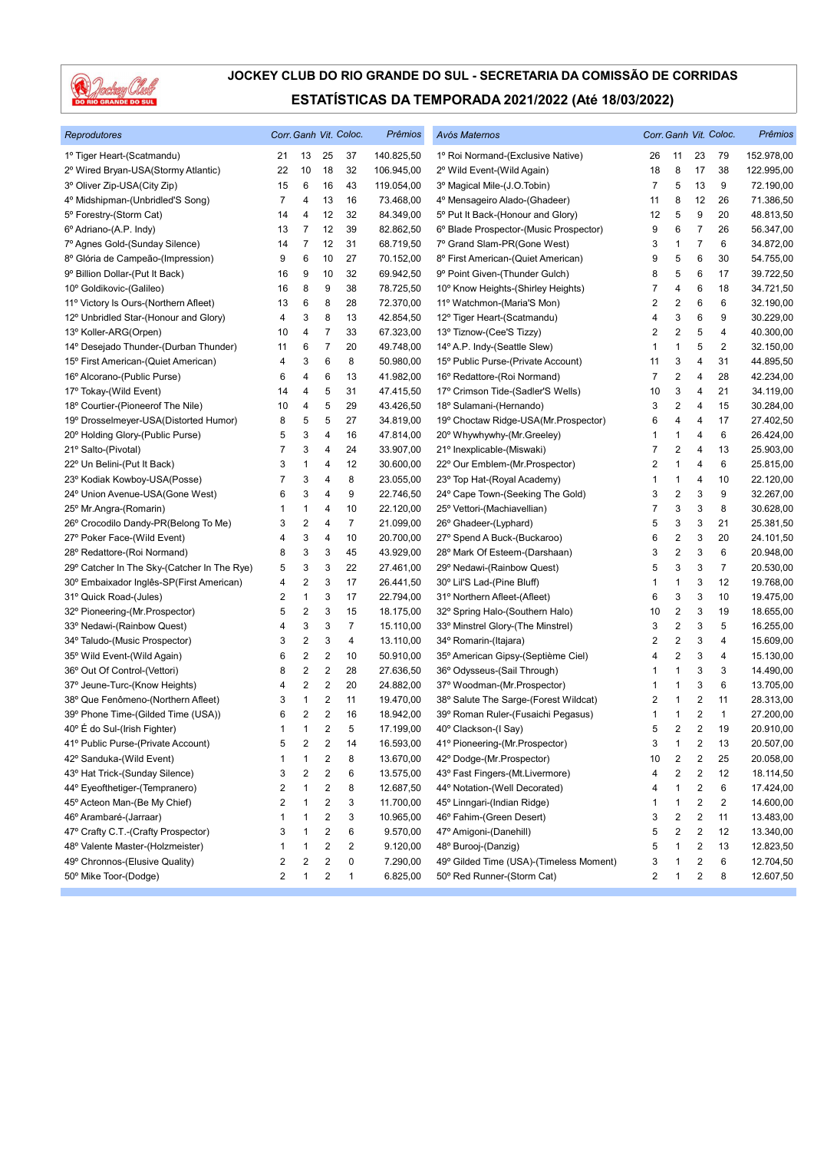

| Reprodutores                                |                         |                |                         | Corr. Ganh Vit. Coloc. | Prêmios    | Avós Maternos                           | Corr. Ganh Vit. Coloc. |                         |                         |                         | Prêmios    |
|---------------------------------------------|-------------------------|----------------|-------------------------|------------------------|------------|-----------------------------------------|------------------------|-------------------------|-------------------------|-------------------------|------------|
| 1º Tiger Heart-(Scatmandu)                  | 21                      | 13             | 25                      | 37                     | 140.825,50 | 1º Roi Normand-(Exclusive Native)       | 26                     | 11                      | 23                      | 79                      | 152.978,00 |
| 2º Wired Bryan-USA(Stormy Atlantic)         | 22                      | 10             | 18                      | 32                     | 106.945,00 | 2º Wild Event-(Wild Again)              | 18                     | 8                       | 17                      | 38                      | 122.995,00 |
| 3º Oliver Zip-USA(City Zip)                 | 15                      | 6              | 16                      | 43                     | 119.054,00 | 3º Magical Mile-(J.O.Tobin)             | 7                      | 5                       | 13                      | 9                       | 72.190,00  |
| 4º Midshipman-(Unbridled'S Song)            | $\overline{7}$          | 4              | 13                      | 16                     | 73.468,00  | 4º Mensageiro Alado-(Ghadeer)           | 11                     | 8                       | 12                      | 26                      | 71.386,50  |
| 5° Forestry-(Storm Cat)                     | 14                      | 4              | 12                      | 32                     | 84.349,00  | 5° Put It Back-(Honour and Glory)       | 12                     | 5                       | 9                       | 20                      | 48.813,50  |
| 6º Adriano-(A.P. Indy)                      | 13                      | 7              | 12                      | 39                     | 82.862,50  | 6° Blade Prospector-(Music Prospector)  | 9                      | 6                       | 7                       | 26                      | 56.347,00  |
| 7º Agnes Gold-(Sunday Silence)              | 14                      | 7              | 12                      | 31                     | 68.719,50  | 7º Grand Slam-PR(Gone West)             | 3                      | $\mathbf{1}$            | $\overline{7}$          | 6                       | 34.872,00  |
| 8º Glória de Campeão-(Impression)           | 9                       | 6              | 10                      | 27                     | 70.152,00  | 8º First American-(Quiet American)      | 9                      | 5                       | 6                       | 30                      | 54.755,00  |
| 9º Billion Dollar-(Put It Back)             | 16                      | 9              | 10                      | 32                     | 69.942,50  | 9º Point Given-(Thunder Gulch)          | 8                      | 5                       | 6                       | 17                      | 39.722,50  |
| 10° Goldikovic-(Galileo)                    | 16                      | 8              | 9                       | 38                     | 78.725,50  | 10° Know Heights-(Shirley Heights)      | 7                      | 4                       | 6                       | 18                      | 34.721,50  |
| 11º Victory Is Ours-(Northern Afleet)       | 13                      | 6              | 8                       | 28                     | 72.370,00  | 11º Watchmon-(Maria'S Mon)              | 2                      | $\overline{2}$          | 6                       | 6                       | 32.190,00  |
| 12º Unbridled Star-(Honour and Glory)       | 4                       | 3              | 8                       | 13                     | 42.854,50  | 12º Tiger Heart-(Scatmandu)             | 4                      | 3                       | 6                       | 9                       | 30.229,00  |
| 13° Koller-ARG(Orpen)                       | 10                      | 4              | 7                       | 33                     | 67.323,00  | 13º Tiznow-(Cee'S Tizzy)                | 2                      | 2                       | 5                       | 4                       | 40.300,00  |
| 14º Desejado Thunder-(Durban Thunder)       | 11                      | 6              | 7                       | 20                     | 49.748,00  | 14º A.P. Indy-(Seattle Slew)            | 1                      | $\mathbf{1}$            | 5                       | 2                       | 32.150,00  |
| 15° First American-(Quiet American)         | 4                       | 3              | 6                       | 8                      | 50.980,00  | 15° Public Purse-(Private Account)      | 11                     | 3                       | 4                       | 31                      | 44.895,50  |
| 16º Alcorano-(Public Purse)                 | 6                       | 4              | 6                       | 13                     | 41.982,00  | 16° Redattore-(Roi Normand)             | 7                      | $\overline{2}$          | 4                       | 28                      | 42.234,00  |
| 17º Tokay-(Wild Event)                      | 14                      | 4              | 5                       | 31                     | 47.415,50  | 17º Crimson Tide-(Sadler'S Wells)       | 10                     | 3                       | 4                       | 21                      | 34.119,00  |
| 18° Courtier-(Pioneerof The Nile)           | 10                      | 4              | 5                       | 29                     | 43.426,50  | 18° Sulamani-(Hernando)                 | 3                      | 2                       | 4                       | 15                      | 30.284,00  |
| 19° Drosselmeyer-USA(Distorted Humor)       | 8                       | 5              | 5                       | 27                     | 34.819,00  | 19° Choctaw Ridge-USA(Mr.Prospector)    | 6                      | 4                       | 4                       | 17                      | 27.402,50  |
| 20° Holding Glory-(Public Purse)            | 5                       | 3              | 4                       | 16                     | 47.814,00  | 20° Whywhywhy-(Mr.Greeley)              | 1                      | $\mathbf{1}$            | 4                       | 6                       | 26.424,00  |
| 21º Salto-(Pivotal)                         | $\overline{7}$          | 3              | 4                       | 24                     | 33.907,00  | 21º Inexplicable-(Miswaki)              | 7                      | $\overline{2}$          | 4                       | 13                      | 25.903,00  |
| 22° Un Belini-(Put It Back)                 | 3                       | 1              | 4                       | 12                     | 30.600,00  | 22° Our Emblem-(Mr.Prospector)          | $\overline{c}$         | $\mathbf{1}$            | 4                       | 6                       | 25.815,00  |
| 23° Kodiak Kowboy-USA(Posse)                | 7                       | 3              | 4                       | 8                      | 23.055,00  | 23° Top Hat-(Royal Academy)             | 1                      | $\mathbf{1}$            | 4                       | 10                      | 22.120,00  |
| 24° Union Avenue-USA(Gone West)             | 6                       | 3              | 4                       | 9                      | 22.746,50  | 24° Cape Town-(Seeking The Gold)        | 3                      | 2                       | 3                       | 9                       | 32.267,00  |
| 25° Mr.Angra-(Romarin)                      | 1                       | 1              | 4                       | 10                     | 22.120,00  | 25° Vettori-(Machiavellian)             | 7                      | 3                       | 3                       | 8                       | 30.628,00  |
| 26° Crocodilo Dandy-PR(Belong To Me)        | 3                       | $\overline{c}$ | 4                       | $\overline{7}$         | 21.099,00  | 26° Ghadeer-(Lyphard)                   | 5                      | 3                       | 3                       | 21                      | 25.381,50  |
| 27º Poker Face-(Wild Event)                 | 4                       | 3              | 4                       | 10                     | 20.700,00  | 27° Spend A Buck-(Buckaroo)             | 6                      | $\overline{\mathbf{c}}$ | 3                       | 20                      | 24.101,50  |
| 28° Redattore-(Roi Normand)                 | 8                       | 3              | 3                       | 45                     | 43.929,00  | 28° Mark Of Esteem-(Darshaan)           | 3                      | $\overline{2}$          | 3                       | 6                       | 20.948,00  |
| 29° Catcher In The Sky-(Catcher In The Rye) | 5                       | 3              | 3                       | 22                     | 27.461,00  | 29° Nedawi-(Rainbow Quest)              | 5                      | 3                       | 3                       | $\overline{7}$          | 20.530,00  |
| 30° Embaixador Inglês-SP(First American)    | 4                       | 2              | 3                       | 17                     | 26.441,50  | 30° Lil'S Lad-(Pine Bluff)              | 1                      | $\mathbf{1}$            | 3                       | 12                      | 19.768,00  |
| 31º Quick Road-(Jules)                      | 2                       | 1              | 3                       | 17                     | 22.794,00  | 31º Northern Afleet-(Afleet)            | 6                      | 3                       | 3                       | 10                      | 19.475,00  |
| 32° Pioneering-(Mr.Prospector)              | 5                       | 2              | 3                       | 15                     | 18.175,00  | 32° Spring Halo-(Southern Halo)         | 10                     | $\overline{2}$          | 3                       | 19                      | 18.655,00  |
| 33º Nedawi-(Rainbow Quest)                  | 4                       | 3              | 3                       | $\overline{7}$         | 15.110,00  | 33º Minstrel Glory-(The Minstrel)       | 3                      | $\overline{2}$          | 3                       | 5                       | 16.255,00  |
| 34° Taludo-(Music Prospector)               | 3                       | 2              | 3                       | 4                      | 13.110,00  | 34° Romarin-(Itajara)                   | 2                      | $\overline{\mathbf{c}}$ | 3                       | 4                       | 15.609,00  |
| 35° Wild Event-(Wild Again)                 | 6                       | 2              | 2                       | 10                     | 50.910,00  | 35° American Gipsy-(Septième Ciel)      | 4                      | $\overline{\mathbf{c}}$ | 3                       | 4                       | 15.130,00  |
| 36° Out Of Control-(Vettori)                | 8                       | 2              | $\sqrt{2}$              | 28                     | 27.636,50  | 36° Odysseus-(Sail Through)             | 1                      | $\mathbf{1}$            | 3                       | 3                       | 14.490,00  |
| 37º Jeune-Turc-(Know Heights)               | 4                       | 2              | $\overline{2}$          | 20                     | 24.882,00  | 37º Woodman-(Mr.Prospector)             | 1                      | $\mathbf{1}$            | 3                       | 6                       | 13.705,00  |
| 38° Que Fenômeno-(Northern Afleet)          | 3                       | 1              | 2                       | 11                     | 19.470,00  | 38° Salute The Sarge-(Forest Wildcat)   | 2                      | 1                       | 2                       | 11                      | 28.313,00  |
| 39° Phone Time-(Gilded Time (USA))          | 6                       | 2              | $\sqrt{2}$              | 16                     | 18.942,00  | 39° Roman Ruler-(Fusaichi Pegasus)      | 1                      | 1                       | 2                       | $\mathbf{1}$            | 27.200,00  |
| 40° É do Sul-(Irish Fighter)                | $\mathbf{1}$            | 1              | $\overline{2}$          | 5                      | 17.199,00  | 40° Clackson-(I Say)                    | 5                      | $\overline{c}$          | $\overline{c}$          | 19                      | 20.910,00  |
| 41º Public Purse-(Private Account)          | 5                       | 2              | $\overline{\mathbf{c}}$ | 14                     | 16.593,00  | 41º Pioneering-(Mr.Prospector)          | 3                      | $\mathbf{1}$            | $\sqrt{2}$              | 13                      | 20.507,00  |
| 42° Sanduka-(Wild Event)                    | 1                       | 1              | $\boldsymbol{2}$        | 8                      | 13.670,00  | 42° Dodge-(Mr.Prospector)               | 10                     | $\overline{2}$          | 2                       | 25                      | 20.058,00  |
| 43º Hat Trick-(Sunday Silence)              | 3                       | 2              | 2                       | 6                      | 13.575,00  | 43° Fast Fingers-(Mt.Livermore)         | 4                      | $\overline{\mathbf{c}}$ | 2                       | 12                      | 18.114,50  |
| 44° Eyeofthetiger-(Tempranero)              | 2                       | 1              | 2                       | 8                      | 12.687,50  | 44º Notation-(Well Decorated)           | 4                      | $\mathbf{1}$            | 2                       | 6                       | 17.424,00  |
| 45° Acteon Man-(Be My Chief)                | $\overline{\mathbf{c}}$ | 1              | $\sqrt{2}$              | 3                      | 11.700,00  | 45° Linngari-(Indian Ridge)             | 1                      | $\mathbf{1}$            | $\sqrt{2}$              | $\overline{\mathbf{c}}$ | 14.600,00  |
| 46° Arambaré-(Jarraar)                      | 1                       | 1              | $\boldsymbol{2}$        | 3                      | 10.965,00  | 46° Fahim-(Green Desert)                | 3                      | $\overline{\mathbf{c}}$ | $\boldsymbol{2}$        | 11                      | 13.483,00  |
| 47° Crafty C.T.-(Crafty Prospector)         | 3                       | 1              | $\overline{\mathbf{c}}$ | 6                      | 9.570,00   | 47º Amigoni-(Danehill)                  | 5                      | $\overline{2}$          | 2                       | 12                      | 13.340,00  |
| 48° Valente Master-(Holzmeister)            | 1                       | 1              | 2                       | 2                      | 9.120,00   | 48° Burooj-(Danzig)                     | 5                      | 1                       | 2                       | 13                      | 12.823,50  |
| 49° Chronnos-(Elusive Quality)              | 2                       | 2              | 2                       | 0                      | 7.290,00   | 49° Gilded Time (USA)-(Timeless Moment) | 3                      | 1                       | 2                       | 6                       | 12.704,50  |
| 50° Mike Toor-(Dodge)                       | $\overline{\mathbf{c}}$ | 1              | $\overline{\mathbf{c}}$ | 1                      | 6.825,00   | 50° Red Runner-(Storm Cat)              | 2                      | 1                       | $\overline{\mathbf{c}}$ | 8                       | 12.607,50  |
|                                             |                         |                |                         |                        |            |                                         |                        |                         |                         |                         |            |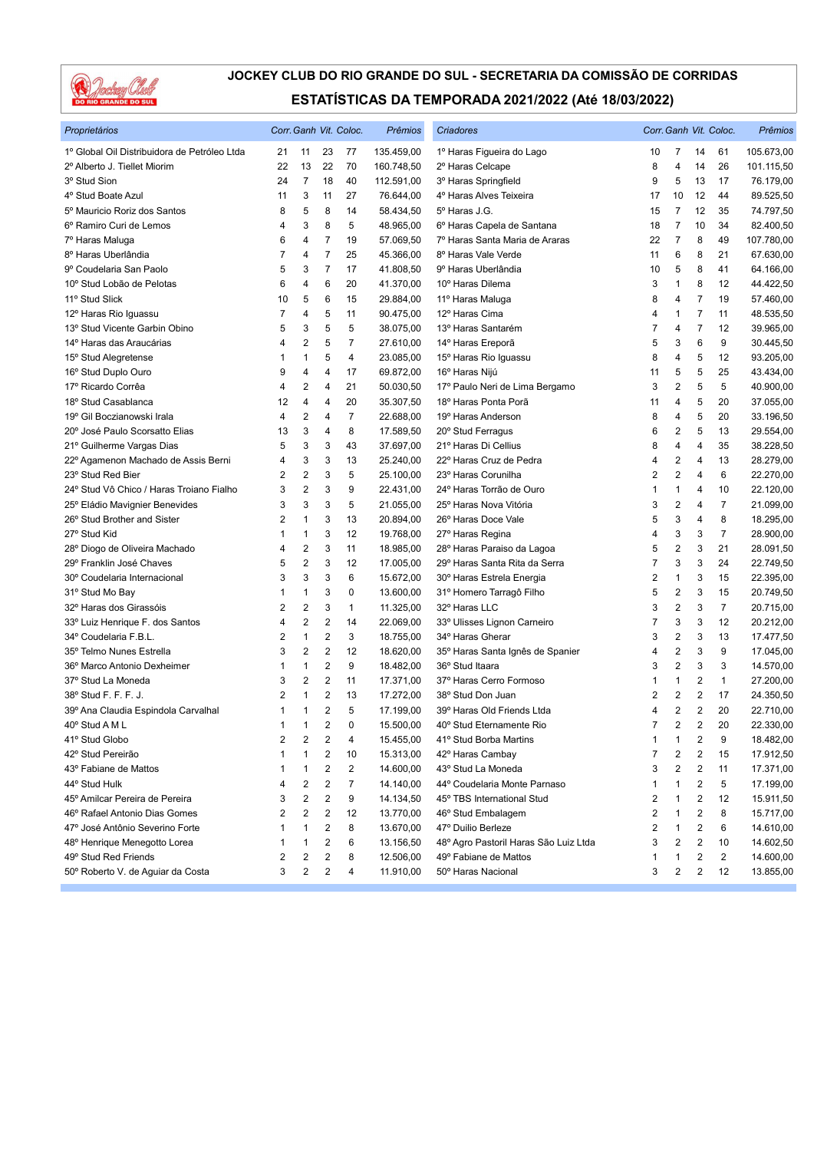

| Proprietários                                |                |                         |                         | Corr. Ganh Vit. Coloc. | Prêmios    | Criadores                             |                |                         |    | Corr. Ganh Vit. Coloc.  | Prêmios    |
|----------------------------------------------|----------------|-------------------------|-------------------------|------------------------|------------|---------------------------------------|----------------|-------------------------|----|-------------------------|------------|
| 1º Global Oil Distribuidora de Petróleo Ltda | 21             | 11                      | 23                      | 77                     | 135.459,00 | 1º Haras Figueira do Lago             | 10             | 7                       | 14 | 61                      | 105.673,00 |
| 2º Alberto J. Tiellet Miorim                 | 22             | 13                      | 22                      | 70                     | 160.748,50 | 2º Haras Celcape                      | 8              | 4                       | 14 | 26                      | 101.115,50 |
| 3º Stud Sion                                 | 24             | $\overline{7}$          | 18                      | 40                     | 112.591,00 | 3º Haras Springfield                  | 9              | 5                       | 13 | 17                      | 76.179,00  |
| 4° Stud Boate Azul                           | 11             | 3                       | 11                      | 27                     | 76.644,00  | 4º Haras Alves Teixeira               | 17             | 10                      | 12 | 44                      | 89.525,50  |
| 5º Mauricio Roriz dos Santos                 | 8              | 5                       | 8                       | 14                     | 58.434,50  | 5º Haras J.G.                         | 15             | 7                       | 12 | 35                      | 74.797,50  |
| 6º Ramiro Curi de Lemos                      | 4              | 3                       | 8                       | 5                      | 48.965,00  | 6º Haras Capela de Santana            | 18             | 7                       | 10 | 34                      | 82.400,50  |
| 7º Haras Maluga                              | 6              | 4                       | $\overline{7}$          | 19                     | 57.069,50  | 7º Haras Santa Maria de Araras        | 22             | $\overline{7}$          | 8  | 49                      | 107.780,00 |
| 8º Haras Uberlândia                          | 7              | 4                       | $\overline{7}$          | 25                     | 45.366,00  | 8º Haras Vale Verde                   | 11             | 6                       | 8  | 21                      | 67.630,00  |
| 9º Coudelaria San Paolo                      | 5              | 3                       | $\overline{7}$          | 17                     | 41.808,50  | 9º Haras Uberlândia                   | 10             | 5                       | 8  | 41                      | 64.166,00  |
| 10º Stud Lobão de Pelotas                    | 6              | 4                       | 6                       | 20                     | 41.370,00  | 10° Haras Dilema                      | 3              | 1                       | 8  | 12                      | 44.422,50  |
| 11º Stud Slick                               | 10             | 5                       | 6                       | 15                     | 29.884,00  | 11º Haras Maluga                      | 8              | 4                       | 7  | 19                      | 57.460,00  |
| 12º Haras Rio Iguassu                        | 7              | 4                       | 5                       | 11                     | 90.475,00  | 12º Haras Cima                        | 4              | 1                       | 7  | 11                      | 48.535,50  |
| 13º Stud Vicente Garbin Obino                | 5              | 3                       | 5                       | 5                      | 38.075,00  | 13º Haras Santarém                    | 7              | 4                       | 7  | 12                      | 39.965,00  |
| 14º Haras das Araucárias                     | 4              | 2                       | 5                       | $\overline{7}$         | 27.610,00  | 14º Haras Ereporã                     | 5              | 3                       | 6  | 9                       | 30.445,50  |
| 15° Stud Alegretense                         | 1              | 1                       | 5                       | 4                      | 23.085,00  | 15° Haras Rio Iguassu                 | 8              | 4                       | 5  | 12                      | 93.205,00  |
| 16° Stud Duplo Ouro                          | 9              | 4                       | 4                       | 17                     | 69.872,00  | 16° Haras Nijú                        | 11             | 5                       | 5  | 25                      | 43.434,00  |
| 17º Ricardo Corrêa                           | 4              | 2                       | 4                       | 21                     | 50.030,50  | 17º Paulo Neri de Lima Bergamo        | 3              | $\overline{2}$          | 5  | 5                       | 40.900,00  |
| 18º Stud Casablanca                          | 12             | 4                       | 4                       | 20                     | 35.307,50  | 18º Haras Ponta Porã                  | 11             | 4                       | 5  | 20                      | 37.055,00  |
| 19° Gil Boczianowski Irala                   | 4              | 2                       | 4                       | $\overline{7}$         | 22.688,00  | 19° Haras Anderson                    | 8              | 4                       | 5  | 20                      | 33.196,50  |
| 20° José Paulo Scorsatto Elias               | 13             | 3                       | 4                       | 8                      | 17.589,50  | 20° Stud Ferragus                     | 6              | $\overline{\mathbf{c}}$ | 5  | 13                      | 29.554,00  |
| 21º Guilherme Vargas Dias                    | 5              | 3                       | 3                       | 43                     | 37.697,00  | 21º Haras Di Cellius                  | 8              | 4                       | 4  | 35                      | 38.228,50  |
| 22º Agamenon Machado de Assis Berni          | 4              | 3                       | 3                       | 13                     | 25.240,00  | 22º Haras Cruz de Pedra               | 4              | $\overline{\mathbf{c}}$ | 4  | 13                      | 28.279,00  |
| 23° Stud Red Bier                            | 2              | 2                       | 3                       | 5                      | 25.100,00  | 23° Haras Corunilha                   | 2              | $\overline{2}$          | 4  | 6                       | 22.270,00  |
| 24° Stud Vô Chico / Haras Troiano Fialho     | 3              | 2                       | 3                       | 9                      | 22.431,00  | 24º Haras Torrão de Ouro              | 1              | 1                       | 4  | 10                      | 22.120,00  |
| 25° Eládio Mavignier Benevides               | 3              | 3                       | 3                       | 5                      | 21.055,00  | 25° Haras Nova Vitória                | 3              | $\overline{\mathbf{c}}$ | 4  | $\overline{7}$          | 21.099,00  |
| 26° Stud Brother and Sister                  | $\overline{2}$ | 1                       | 3                       | 13                     | 20.894,00  | 26° Haras Doce Vale                   | 5              | 3                       | 4  | 8                       | 18.295,00  |
| 27° Stud Kid                                 | 1              | 1                       | 3                       | 12                     | 19.768,00  | 27º Haras Regina                      | 4              | 3                       | 3  | $\overline{7}$          | 28.900,00  |
| 28º Diogo de Oliveira Machado                | 4              | 2                       | 3                       | 11                     | 18.985,00  | 28° Haras Paraiso da Lagoa            | 5              | $\overline{c}$          | 3  | 21                      | 28.091,50  |
| 29° Franklin José Chaves                     | 5              | 2                       | 3                       | 12                     | 17.005,00  | 29º Haras Santa Rita da Serra         | 7              | 3                       | 3  | 24                      | 22.749,50  |
| 30° Coudelaria Internacional                 | 3              | 3                       | 3                       | 6                      | 15.672,00  | 30° Haras Estrela Energia             | $\overline{2}$ | 1                       | 3  | 15                      | 22.395,00  |
| 31º Stud Mo Bay                              | 1              | 1                       | 3                       | 0                      | 13.600,00  | 31º Homero Tarragô Filho              | 5              | $\overline{2}$          | 3  | 15                      | 20.749,50  |
| 32º Haras dos Girassóis                      | $\overline{2}$ | 2                       | 3                       | $\mathbf{1}$           | 11.325,00  | 32º Haras LLC                         | 3              | $\overline{2}$          | 3  | $\overline{7}$          | 20.715,00  |
| 33º Luiz Henrique F. dos Santos              | 4              | 2                       | 2                       | 14                     | 22.069,00  | 33º Ulisses Lignon Carneiro           | 7              | 3                       | 3  | 12                      | 20.212,00  |
| 34º Coudelaria F.B.L.                        | 2              | $\mathbf{1}$            | $\overline{2}$          | 3                      | 18.755,00  | 34° Haras Gherar                      | 3              | $\overline{2}$          | 3  | 13                      | 17.477,50  |
| 35° Telmo Nunes Estrella                     | 3              | 2                       | $\overline{2}$          | 12                     | 18.620,00  | 35° Haras Santa Ignês de Spanier      | 4              | $\overline{2}$          | 3  | 9                       | 17.045,00  |
| 36° Marco Antonio Dexheimer                  | 1              | 1                       | $\overline{2}$          | 9                      | 18.482,00  | 36° Stud Itaara                       | 3              | $\overline{2}$          | 3  | 3                       | 14.570,00  |
| 37º Stud La Moneda                           | 3              | 2                       | $\overline{\mathbf{c}}$ | 11                     | 17.371,00  | 37º Haras Cerro Formoso               | 1              | 1                       | 2  | $\mathbf{1}$            | 27.200,00  |
| 38° Stud F. F. F. J.                         | $\overline{2}$ | 1                       | $\overline{2}$          | 13                     | 17.272,00  | 38° Stud Don Juan                     | 2              | $\overline{2}$          | 2  | 17                      | 24.350,50  |
| 39º Ana Claudia Espindola Carvalhal          | 1              | 1                       | $\overline{c}$          | 5                      | 17.199,00  | 39° Haras Old Friends Ltda            | 4              | $\overline{2}$          | 2  | 20                      | 22.710,00  |
| 40° Stud A M L                               | $\mathbf{1}$   | 1                       | $\overline{2}$          | 0                      | 15.500,00  | 40° Stud Eternamente Rio              | 7              | $\overline{2}$          | 2  | 20                      | 22.330,00  |
| 41º Stud Globo                               | 2              | 2                       | 2                       | 4                      | 15.455,00  | 41º Stud Borba Martins                | 1              | 1                       | 2  | 9                       | 18.482,00  |
| 42º Stud Pereirão                            | 1              | 1                       | 2                       | 10                     | 15.313,00  | 42° Haras Cambay                      | 7              | 2                       | 2  | 15                      | 17.912,50  |
| 43º Fabiane de Mattos                        | 1              | 1                       | 2                       | 2                      | 14.600,00  | 43° Stud La Moneda                    | 3              | 2                       | 2  | 11                      | 17.371,00  |
| 44° Stud Hulk                                | 4              | $\overline{\mathbf{c}}$ | 2                       | 7                      | 14.140,00  | 44º Coudelaria Monte Parnaso          | 1              | 1                       | 2  | 5                       | 17.199,00  |
| 45º Amilcar Pereira de Pereira               | 3              | $\overline{\mathbf{c}}$ | 2                       | 9                      | 14.134,50  | 45° TBS International Stud            | 2              | 1                       | 2  | 12                      | 15.911,50  |
| 46° Rafael Antonio Dias Gomes                | 2              | 2                       | 2                       | 12                     | 13.770,00  | 46° Stud Embalagem                    | 2              | 1                       | 2  | 8                       | 15.717,00  |
| 47º José Antônio Severino Forte              | 1              | 1                       | 2                       | 8                      | 13.670,00  | 47º Duilio Berleze                    | 2              | 1                       | 2  | 6                       | 14.610,00  |
| 48º Henrique Menegotto Lorea                 | 1              | 1                       | 2                       | 6                      | 13.156,50  | 48º Agro Pastoril Haras São Luiz Ltda | 3              | 2                       | 2  | 10                      | 14.602,50  |
| 49° Stud Red Friends                         | 2              | 2                       | 2                       | 8                      | 12.506,00  | 49º Fabiane de Mattos                 | 1              | 1                       | 2  | $\overline{\mathbf{c}}$ | 14.600,00  |
| 50° Roberto V. de Aguiar da Costa            | 3              | 2                       | $\overline{\mathbf{c}}$ | 4                      | 11.910,00  | 50° Haras Nacional                    | 3              | $\overline{2}$          | 2  | 12                      | 13.855,00  |
|                                              |                |                         |                         |                        |            |                                       |                |                         |    |                         |            |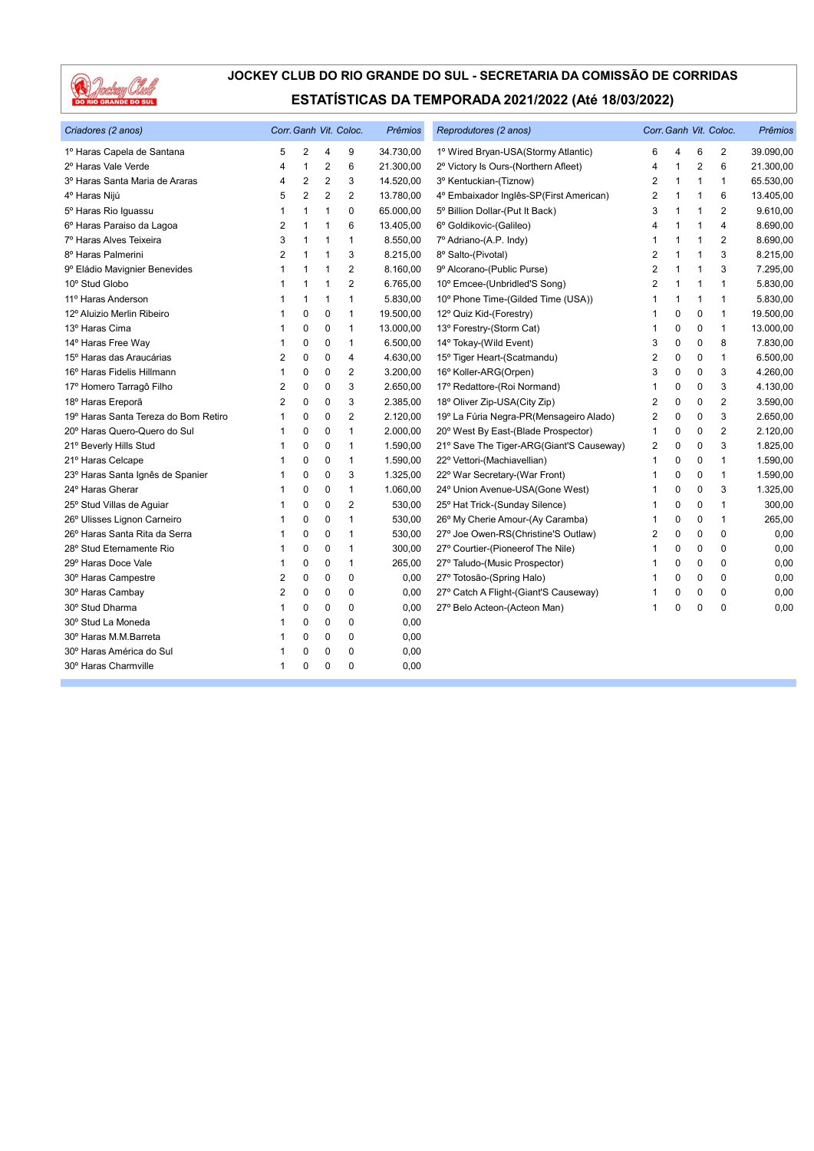

| Criadores (2 anos)                   |                |                |                | Corr. Ganh Vit. Coloc. | Prêmios   | Reprodutores (2 anos)                    |                |              |                | Corr. Ganh Vit. Coloc. | <b>Prêmios</b> |
|--------------------------------------|----------------|----------------|----------------|------------------------|-----------|------------------------------------------|----------------|--------------|----------------|------------------------|----------------|
| 1º Haras Capela de Santana           | 5              | $\overline{2}$ | 4              | 9                      | 34.730,00 | 1º Wired Bryan-USA(Stormy Atlantic)      | 6              | 4            | 6              | $\overline{2}$         | 39.090,00      |
| 2º Haras Vale Verde                  | 4              | $\overline{1}$ | $\overline{c}$ | 6                      | 21.300,00 | 2º Victory Is Ours-(Northern Afleet)     | 4              | 1            | $\overline{2}$ | 6                      | 21.300,00      |
| 3º Haras Santa Maria de Araras       | 4              | $\overline{2}$ | 2              | 3                      | 14.520,00 | 3º Kentuckian-(Tiznow)                   | 2              | 1            | 1              | $\mathbf{1}$           | 65.530,00      |
| 4º Haras Nijú                        | 5              | $\overline{2}$ | $\overline{2}$ | $\overline{2}$         | 13.780,00 | 4º Embaixador Inglês-SP(First American)  | $\overline{2}$ | 1            | 1              | 6                      | 13.405,00      |
| 5º Haras Rio Iguassu                 | 1              | 1              | 1              | 0                      | 65.000,00 | 5° Billion Dollar-(Put It Back)          | 3              | 1            | 1              | $\overline{2}$         | 9.610,00       |
| 6º Haras Paraiso da Lagoa            | $\overline{2}$ | $\overline{1}$ | 1              | 6                      | 13.405,00 | 6° Goldikovic-(Galileo)                  | 4              | 1            |                | $\overline{4}$         | 8.690,00       |
| 7º Haras Alves Teixeira              | 3              | $\mathbf{1}$   | 1              | $\mathbf{1}$           | 8.550,00  | 7º Adriano-(A.P. Indy)                   | $\mathbf 1$    | $\mathbf{1}$ | 1              | $\overline{2}$         | 8.690,00       |
| 8º Haras Palmerini                   | 2              | $\mathbf{1}$   | 1              | 3                      | 8.215,00  | 8º Salto-(Pivotal)                       | $\overline{2}$ | 1            | 1              | 3                      | 8.215,00       |
| 9º Eládio Mavignier Benevides        | 1              | -1             | 1              | $\overline{2}$         | 8.160,00  | 9º Alcorano-(Public Purse)               | 2              | $\mathbf 1$  | 1              | 3                      | 7.295,00       |
| 10° Stud Globo                       | 1              | $\overline{1}$ | 1              | $\overline{2}$         | 6.765,00  | 10° Emcee-(Unbridled'S Song)             | $\overline{2}$ | $\mathbf{1}$ | 1              | $\mathbf{1}$           | 5.830,00       |
| 11º Haras Anderson                   | 1              | $\mathbf{1}$   | 1              | $\mathbf{1}$           | 5.830,00  | 10° Phone Time-(Gilded Time (USA))       | 1              | 1            | 1              | $\mathbf{1}$           | 5.830,00       |
| 12º Aluizio Merlin Ribeiro           | 1              | $\pmb{0}$      | $\mathbf 0$    | $\mathbf{1}$           | 19.500,00 | 12º Quiz Kid-(Forestry)                  | 1              | 0            | 0              | $\mathbf{1}$           | 19.500,00      |
| 13º Haras Cima                       | 1              | 0              | $\mathbf 0$    | $\mathbf{1}$           | 13.000,00 | 13º Forestry-(Storm Cat)                 | 1              | 0            | $\Omega$       | $\mathbf{1}$           | 13.000,00      |
| 14º Haras Free Way                   | 1              | $\mathbf 0$    | $\mathbf 0$    | $\mathbf{1}$           | 6.500,00  | 14° Tokay-(Wild Event)                   | 3              | 0            | 0              | 8                      | 7.830,00       |
| 15º Haras das Araucárias             | 2              | 0              | $\pmb{0}$      | 4                      | 4.630,00  | 15° Tiger Heart-(Scatmandu)              | $\overline{c}$ | 0            | 0              | $\mathbf{1}$           | 6.500,00       |
| 16° Haras Fidelis Hillmann           | 1              | 0              | 0              | 2                      | 3.200,00  | 16° Koller-ARG(Orpen)                    | 3              | 0            | $\Omega$       | 3                      | 4.260,00       |
| 17º Homero Tarragô Filho             | $\overline{2}$ | 0              | $\pmb{0}$      | 3                      | 2.650,00  | 17º Redattore-(Roi Normand)              | 1              | 0            | 0              | 3                      | 4.130,00       |
| 18º Haras Ereporã                    | $\overline{2}$ | 0              | $\pmb{0}$      | 3                      | 2.385,00  | 18° Oliver Zip-USA(City Zip)             | $\overline{2}$ | 0            | 0              | $\overline{2}$         | 3.590,00       |
| 19º Haras Santa Tereza do Bom Retiro | $\overline{1}$ | 0              | 0              | 2                      | 2.120,00  | 19º La Fúria Negra-PR(Mensageiro Alado)  | 2              | 0            | 0              | 3                      | 2.650,00       |
| 20° Haras Quero-Quero do Sul         | 1              | 0              | 0              | $\mathbf{1}$           | 2.000,00  | 20° West By East-(Blade Prospector)      | 1              | 0            | 0              | $\overline{2}$         | 2.120,00       |
| 21º Beverly Hills Stud               | 1              | 0              | 0              | $\mathbf{1}$           | 1.590,00  | 21° Save The Tiger-ARG(Giant'S Causeway) | 2              | 0            | 0              | 3                      | 1.825,00       |
| 21º Haras Celcape                    |                | 0              | 0              | $\mathbf{1}$           | 1.590,00  | 22° Vettori-(Machiavellian)              | 1              | $\Omega$     | 0              | 1                      | 1.590,00       |
| 23º Haras Santa Ignês de Spanier     |                | 0              | 0              | 3                      | 1.325,00  | 22° War Secretary-(War Front)            | 1              | $\Omega$     | 0              | $\mathbf{1}$           | 1.590,00       |
| 24° Haras Gherar                     |                | 0              | 0              | $\mathbf{1}$           | 1.060,00  | 24° Union Avenue-USA(Gone West)          | 1              | 0            | 0              | 3                      | 1.325,00       |
| 25° Stud Villas de Aguiar            |                | 0              | $\mathbf 0$    | $\overline{2}$         | 530,00    | 25° Hat Trick-(Sunday Silence)           | 1              | $\Omega$     | $\Omega$       | $\mathbf{1}$           | 300,00         |
| 26° Ulisses Lignon Carneiro          |                | $\mathbf 0$    | $\mathbf 0$    | $\mathbf{1}$           | 530,00    | 26° My Cherie Amour-(Ay Caramba)         | 1              | 0            | 0              | $\mathbf{1}$           | 265,00         |
| 26° Haras Santa Rita da Serra        |                | 0              | $\mathbf 0$    | 1                      | 530,00    | 27° Joe Owen-RS(Christine'S Outlaw)      | 2              | 0            | 0              | 0                      | 0,00           |
| 28° Stud Eternamente Rio             |                | 0              | 0              | $\mathbf{1}$           | 300,00    | 27° Courtier-(Pioneerof The Nile)        | 1              | 0            | $\Omega$       | 0                      | 0,00           |
| 29° Haras Doce Vale                  | 1              | $\mathbf 0$    | 0              | $\mathbf{1}$           | 265,00    | 27º Taludo-(Music Prospector)            | 1              | 0            | $\Omega$       | $\mathbf{0}$           | 0,00           |
| 30° Haras Campestre                  | 2              | 0              | 0              | 0                      | 0,00      | 27º Totosão-(Spring Halo)                | 1              | 0            | 0              | $\mathbf{0}$           | 0,00           |
| 30° Haras Cambay                     | 2              | 0              | 0              | 0                      | 0,00      | 27° Catch A Flight-(Giant'S Causeway)    | 1              | 0            | 0              | 0                      | 0,00           |
| 30° Stud Dharma                      | 1              | 0              | $\mathbf 0$    | 0                      | 0,00      | 27º Belo Acteon-(Acteon Man)             | 1              | $\Omega$     | $\Omega$       | $\Omega$               | 0,00           |
| 30° Stud La Moneda                   | 1              | 0              | $\pmb{0}$      | 0                      | 0,00      |                                          |                |              |                |                        |                |
| 30° Haras M.M.Barreta                | 1              | 0              | $\mathbf 0$    | 0                      | 0,00      |                                          |                |              |                |                        |                |
| 30° Haras América do Sul             | 1              | 0              | 0              | 0                      | 0,00      |                                          |                |              |                |                        |                |
| 30° Haras Charmville                 | 1              | 0              | 0              | $\Omega$               | 0,00      |                                          |                |              |                |                        |                |
|                                      |                |                |                |                        |           |                                          |                |              |                |                        |                |